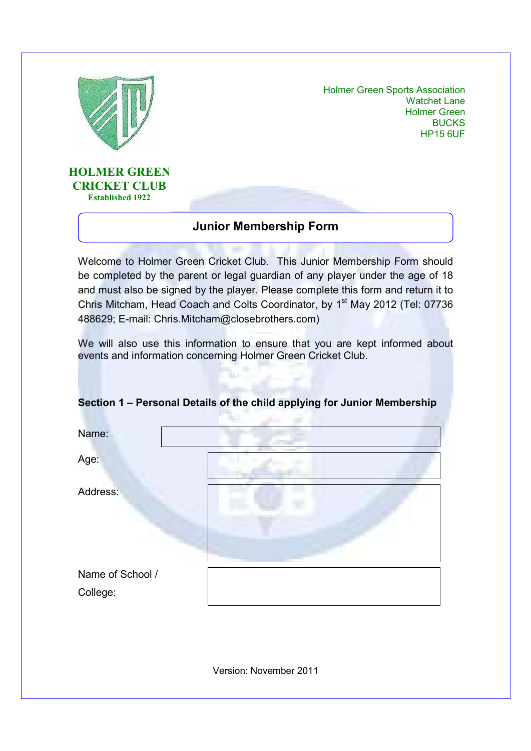

Holmer Green Sports Association Watchet Lane Holmer Green **BUCKS** HP15 6UF

### **HOLMER GREEN CRICKET CLUB Established 1922**

# **Junior Membership Form**

Welcome to Holmer Green Cricket Club*.* This Junior Membership Form should be completed by the parent or legal guardian of any player under the age of 18 and must also be signed by the player. Please complete this form and return it to Chris Mitcham, Head Coach and Colts Coordinator, by 1<sup>st</sup> May 2012 (Tel: 07736 488629; E-mail: Chris.Mitcham@closebrothers.com)

We will also use this information to ensure that you are kept informed about events and information concerning Holmer Green Cricket Club.

| Name:            |  |
|------------------|--|
| Age:             |  |
| Address:         |  |
| Name of School / |  |
| College:         |  |

## **Section 1 – Personal Details of the child applying for Junior Membership**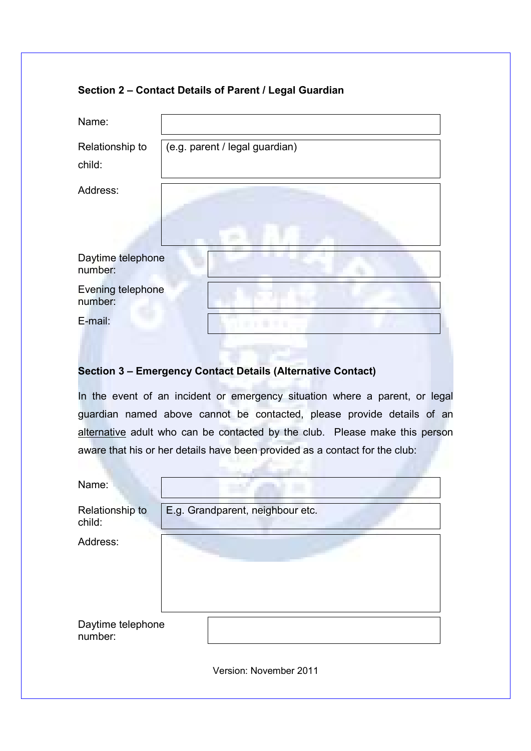### **Section 2 – Contact Details of Parent / Legal Guardian**

| Name:                        |                                |
|------------------------------|--------------------------------|
| Relationship to<br>child:    | (e.g. parent / legal guardian) |
| Address:                     |                                |
| Daytime telephone<br>number: |                                |
| Evening telephone<br>number: |                                |
| E-mail:                      |                                |

## **Section 3 – Emergency Contact Details (Alternative Contact)**

In the event of an incident or emergency situation where a parent, or legal guardian named above cannot be contacted, please provide details of an alternative adult who can be contacted by the club. Please make this person aware that his or her details have been provided as a contact for the club:

| Name:                        |                                  |
|------------------------------|----------------------------------|
| Relationship to<br>child:    | E.g. Grandparent, neighbour etc. |
| Address:                     |                                  |
| Daytime telephone<br>number: |                                  |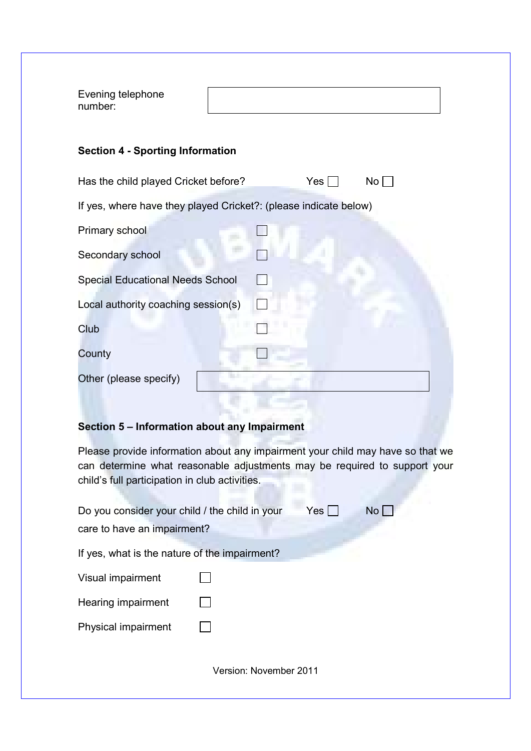| <b>Section 4 - Sporting Information</b><br>Yes $\Box$<br>Has the child played Cricket before?<br>No<br>If yes, where have they played Cricket?: (please indicate below)<br>Primary school<br>Secondary school |
|---------------------------------------------------------------------------------------------------------------------------------------------------------------------------------------------------------------|
|                                                                                                                                                                                                               |
|                                                                                                                                                                                                               |
|                                                                                                                                                                                                               |
|                                                                                                                                                                                                               |
|                                                                                                                                                                                                               |
| <b>Special Educational Needs School</b>                                                                                                                                                                       |
| Local authority coaching session(s)                                                                                                                                                                           |
| Club                                                                                                                                                                                                          |
| County                                                                                                                                                                                                        |
| Other (please specify)                                                                                                                                                                                        |
|                                                                                                                                                                                                               |
| Section 5 - Information about any Impairment                                                                                                                                                                  |

Please provide information about any impairment your child may have so that we can determine what reasonable adjustments may be required to support your child's full participation in club activities.

| Do you consider your child / the child in your |  | Yes | No <sub>1</sub> |  |
|------------------------------------------------|--|-----|-----------------|--|
| care to have an impairment?                    |  |     |                 |  |
| If yes, what is the nature of the impairment?  |  |     |                 |  |
| Visual impairment                              |  |     |                 |  |
| Hearing impairment                             |  |     |                 |  |
| Physical impairment                            |  |     |                 |  |
|                                                |  |     |                 |  |
| Vareion: November 2011                         |  |     |                 |  |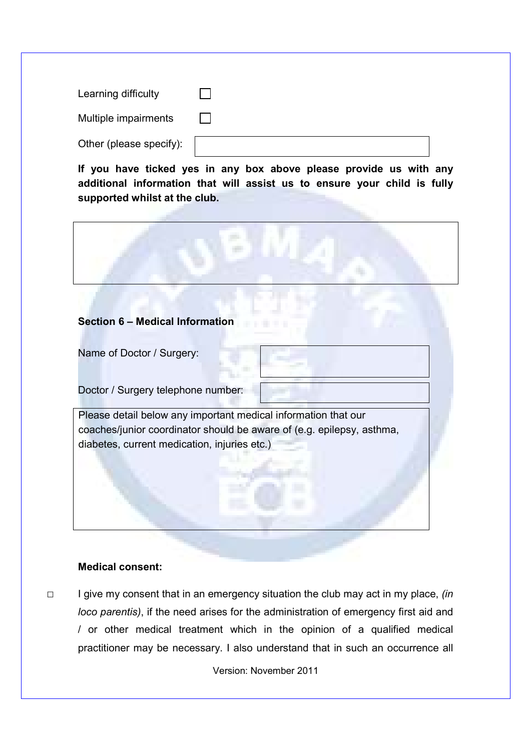Learning difficulty

 $\Box$ 

 $\Box$ 

Other (please specify):

**If you have ticked yes in any box above please provide us with any additional information that will assist us to ensure your child is fully supported whilst at the club.** 

**Section 6 – Medical Information**  Name of Doctor / Surgery: Doctor / Surgery telephone number: Please detail below any important medical information that our coaches/junior coordinator should be aware of (e.g. epilepsy, asthma, diabetes, current medication, injuries etc.)

### **Medical consent:**

□ I give my consent that in an emergency situation the club may act in my place, *(in loco parentis)*, if the need arises for the administration of emergency first aid and / or other medical treatment which in the opinion of a qualified medical practitioner may be necessary. I also understand that in such an occurrence all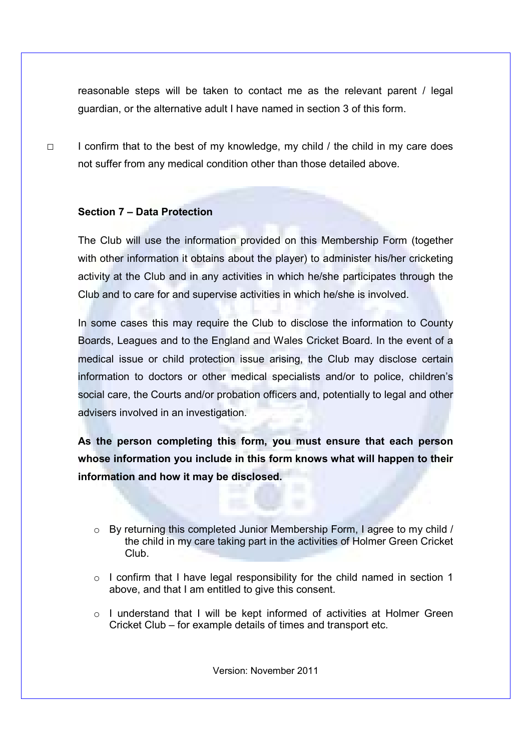reasonable steps will be taken to contact me as the relevant parent / legal guardian, or the alternative adult I have named in section 3 of this form.

□ I confirm that to the best of my knowledge, my child / the child in my care does not suffer from any medical condition other than those detailed above.

### **Section 7 – Data Protection**

The Club will use the information provided on this Membership Form (together with other information it obtains about the player) to administer his/her cricketing activity at the Club and in any activities in which he/she participates through the Club and to care for and supervise activities in which he/she is involved.

In some cases this may require the Club to disclose the information to County Boards, Leagues and to the England and Wales Cricket Board. In the event of a medical issue or child protection issue arising, the Club may disclose certain information to doctors or other medical specialists and/or to police, children's social care, the Courts and/or probation officers and, potentially to legal and other advisers involved in an investigation.

**As the person completing this form, you must ensure that each person whose information you include in this form knows what will happen to their information and how it may be disclosed.**

- $\circ$  By returning this completed Junior Membership Form, I agree to my child / the child in my care taking part in the activities of Holmer Green Cricket Club.
- $\circ$  I confirm that I have legal responsibility for the child named in section 1 above, and that I am entitled to give this consent.
- $\circ$  I understand that I will be kept informed of activities at Holmer Green Cricket Club – for example details of times and transport etc.